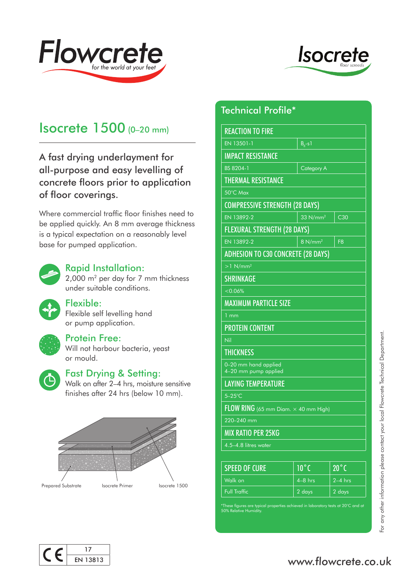



# Isocrete 1500 (0–20 mm)

A fast drying underlayment for all-purpose and easy levelling of concrete floors prior to application of floor coverings.

Where commercial traffic floor finishes need to be applied quickly. An 8 mm average thickness is a typical expectation on a reasonably level base for pumped application.



#### Rapid Installation:

2,000 m2 per day for 7 mm thickness under suitable conditions.



# Flexible:

Flexible self levelling hand or pump application.



# Protein Free:

Will not harbour bacteria, yeast or mould.



# Fast Drying & Setting:

Walk on after 2–4 hrs, moisture sensitive finishes after 24 hrs (below 10 mm).



# Technical Profile\*

www.flowcrete.co.uk<br>For any other information please contact your local Department.<br>
The contact your local Flowcrete Technical Department.<br>
Technical Department.<br>
Technical Department.co.uk REACTION TO FIRE EN 13501-1  $B_{a}$ -s1 IMPACT RESISTANCE BS 8204-1 Category A THERMAL RESISTANCE 50°C Max COMPRESSIVE STRENGTH (28 DAYS) EN 13892-2  $\vert$  33 N/mm<sup>2</sup> C30 FLEXURAL STRENGTH (28 DAYS) EN 13892-2  $\vert$  8 N/mm<sup>2</sup>  $\vert$  F8 ADHESION TO C30 CONCRETE (28 DAYS)  $>1$  N/mm<sup>2</sup> SHRINKAGE  $< 0.06\%$ MAXIMUM PARTICLE SIZE 1 mm PROTEIN CONTENT Nil **THICKNESS** 0–20 mm hand applied 4–20 mm pump applied LAYING TEMPERATURE 5–25°C FLOW RING (65 mm Diam. × 40 mm High) 220–240 mm MIX RATIO PER 25KG 4.5–4.8 litres water SPEED OF CURE  $10^{\circ}$ C  $-20^{\circ}$ C Walk on  $\vert$  4–8 hrs  $\vert$  2–4 hrs Full Traffic 2 days 2 days 2 days

\*These figures are typical properties achieved in laboratory tests at 20°C and at 50% Relative Humidity.